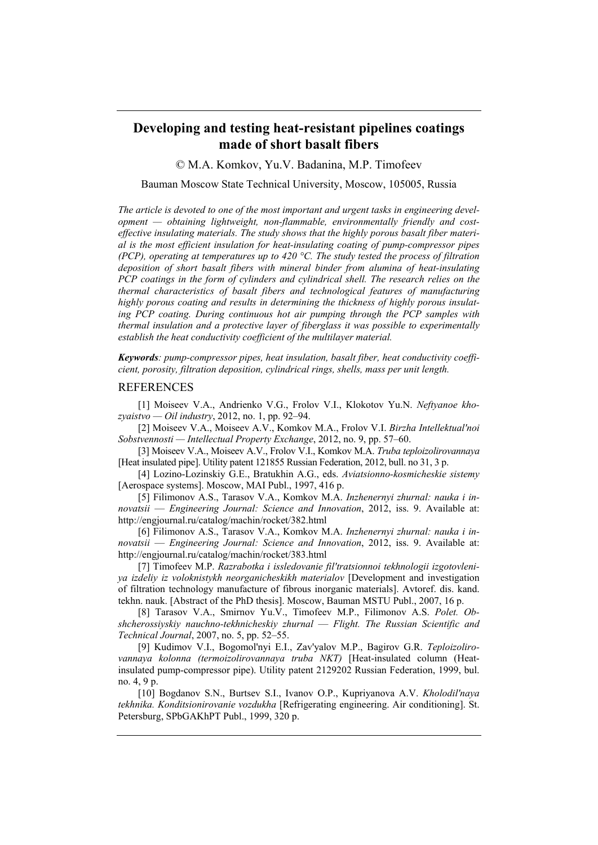## **Developing and testing heat-resistant pipelines coatings made of short basalt fibers**

© M.A. Komkov, Yu.V. Badanina, M.P. Timofeev

## Bauman Moscow State Technical University, Moscow, 105005, Russia

*The article is devoted to one of the most important and urgent tasks in engineering development — obtaining lightweight, non-flammable, environmentally friendly and costeffective insulating materials. The study shows that the highly porous basalt fiber material is the most efficient insulation for heat-insulating coating of pump-compressor pipes (PCP), operating at temperatures up to 420 °C. The study tested the process of filtration deposition of short basalt fibers with mineral binder from alumina of heat-insulating PCP coatings in the form of cylinders and cylindrical shell. The research relies on the thermal characteristics of basalt fibers and technological features of manufacturing highly porous coating and results in determining the thickness of highly porous insulating PCP coating. During continuous hot air pumping through the PCP samples with thermal insulation and a protective layer of fiberglass it was possible to experimentally establish the heat conductivity coefficient of the multilayer material.* 

*Keywords: pump-compressor pipes, heat insulation, basalt fiber, heat conductivity coefficient, porosity, filtration deposition, cylindrical rings, shells, mass per unit length.* 

## REFERENCES

[1] Moiseev V.A., Andrienko V.G., Frolov V.I., Klokotov Yu.N. *Neftyanoe khozyaistvo — Oil industry*, 2012, no. 1, pp. 92–94.

[2] Moiseev V.A., Moiseev A.V., Komkov M.A., Frolov V.I. *Birzha Intellektual'noi Sobstvennosti — Intellectual Property Exchange*, 2012, no. 9, pp. 57–60.

[3] Moiseev V.A., Moiseev A.V., Frolov V.I., Komkov M.A. *Truba teploizolirovannaya*  [Heat insulated pipe]. Utility patent 121855 Russian Federation, 2012, bull. no 31, 3 p.

[4] Lozino-Lozinskiy G.E., Bratukhin A.G., eds. *Aviatsionno-kosmicheskie sistemy*  [Aerospace systems]. Moscow, MAI Publ., 1997, 416 p.

[5] Filimonov A.S., Tarasov V.A., Komkov M.A. *Inzhenernyi zhurnal: nauka i innovatsii* — *Engineering Journal: Science and Innovation*, 2012, iss. 9. Available at: http://engjournal.ru/catalog/machin/rocket/382.html

[6] Filimonov A.S., Tarasov V.A., Komkov M.A. *Inzhenernyi zhurnal: nauka i innovatsii* — *Engineering Journal: Science and Innovation*, 2012, iss. 9. Available at: http://engjournal.ru/catalog/machin/rocket/383.html

[7] Timofeev M.P. *Razrabotka i issledovanie fil'tratsionnoi tekhnologii izgotovleniya izdeliy iz voloknistykh neorganicheskikh materialov* [Development and investigation of filtration technology manufacture of fibrous inorganic materials]. Avtoref. dis. kand. tekhn. nauk. [Abstract of the PhD thesis]. Moscow, Bauman MSTU Publ., 2007, 16 p.

[8] Tarasov V.A., Smirnov Yu.V., Timofeev M.P., Filimonov A.S. *Polet. Obshcherossiyskiy nauchno-tekhnicheskiy zhurnal* — *Flight. The Russian Scientific and Technical Journal*, 2007, no. 5, pp. 52–55.

[9] Kudimov V.I., Bogomol'nyi E.I., Zav'yalov M.P., Bagirov G.R. *Teploizolirovannaya kolonna (termoizolirovannaya truba NKT)* [Heat-insulated column (Heatinsulated pump-compressor pipe). Utility patent 2129202 Russian Federation, 1999, bul. no. 4, 9 p.

[10] Bogdanov S.N., Burtsev S.I., Ivanov O.P., Kupriyanova A.V. *Kholodil'naya tekhnika. Konditsionirovanie vozdukha* [Refrigerating engineering. Air conditioning]. St. Petersburg, SPbGAKhPT Publ., 1999, 320 p.